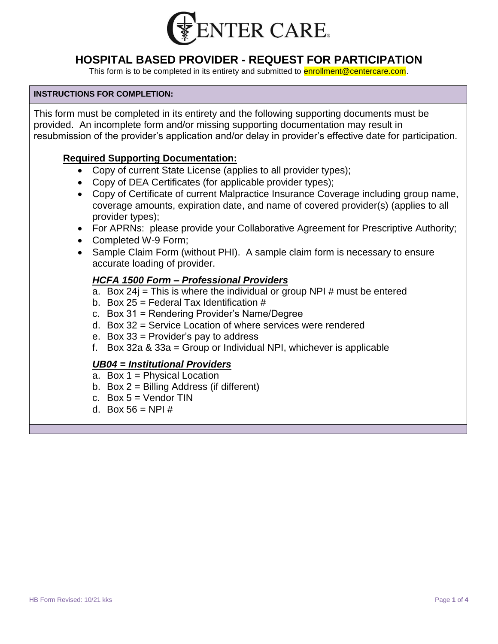

# **HOSPITAL BASED PROVIDER - REQUEST FOR PARTICIPATION**

This form is to be completed in its entirety and submitted to **enrollment@centercare.com**.

#### **INSTRUCTIONS FOR COMPLETION:**

This form must be completed in its entirety and the following supporting documents must be provided. An incomplete form and/or missing supporting documentation may result in resubmission of the provider's application and/or delay in provider's effective date for participation.

#### **Required Supporting Documentation:**

- Copy of current State License (applies to all provider types);
- Copy of DEA Certificates (for applicable provider types);
- Copy of Certificate of current Malpractice Insurance Coverage including group name, coverage amounts, expiration date, and name of covered provider(s) (applies to all provider types);
- For APRNs: please provide your Collaborative Agreement for Prescriptive Authority;
- Completed W-9 Form;
- Sample Claim Form (without PHI). A sample claim form is necessary to ensure accurate loading of provider.

### *HCFA 1500 Form – Professional Providers*

- a. Box  $24i$  = This is where the individual or group NPI # must be entered
- b. Box 25 = Federal Tax Identification  $#$
- c. Box 31 = Rendering Provider's Name/Degree
- d. Box 32 = Service Location of where services were rendered
- e. Box 33 = Provider's pay to address
- f. Box 32a  $\&$  33a = Group or Individual NPI, whichever is applicable

## *UB04 = Institutional Providers*

- a. Box 1 = Physical Location
- b. Box 2 = Billing Address (if different)
- c. Box  $5 =$  Vendor TIN
- d. Box  $56 = NP1 \#$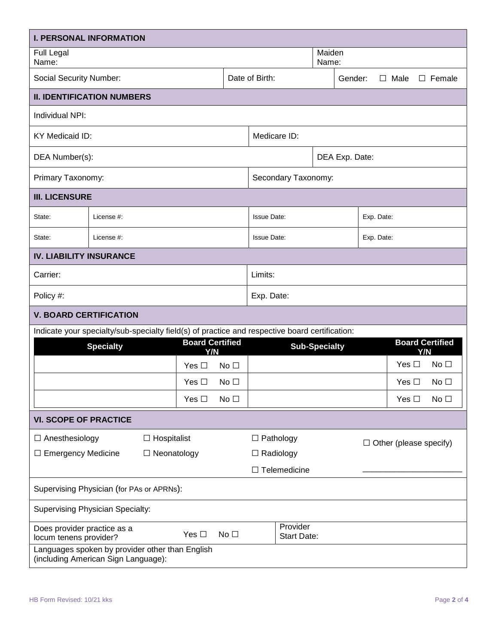| <b>I. PERSONAL INFORMATION</b>                                                                                                                  |                  |                    |                               |                     |                                                                                                |                      |  |            |                        |            |                        |
|-------------------------------------------------------------------------------------------------------------------------------------------------|------------------|--------------------|-------------------------------|---------------------|------------------------------------------------------------------------------------------------|----------------------|--|------------|------------------------|------------|------------------------|
| <b>Full Legal</b><br>Name:                                                                                                                      |                  |                    |                               |                     |                                                                                                | Maiden<br>Name:      |  |            |                        |            |                        |
| Social Security Number:                                                                                                                         |                  |                    |                               |                     | Date of Birth:<br>Gender:                                                                      |                      |  |            | $\Box$ Male            |            | $\Box$ Female          |
| <b>II. IDENTIFICATION NUMBERS</b>                                                                                                               |                  |                    |                               |                     |                                                                                                |                      |  |            |                        |            |                        |
| Individual NPI:                                                                                                                                 |                  |                    |                               |                     |                                                                                                |                      |  |            |                        |            |                        |
| KY Medicaid ID:                                                                                                                                 |                  |                    |                               | Medicare ID:        |                                                                                                |                      |  |            |                        |            |                        |
| DEA Number(s):                                                                                                                                  |                  |                    |                               | DEA Exp. Date:      |                                                                                                |                      |  |            |                        |            |                        |
| Primary Taxonomy:                                                                                                                               |                  |                    |                               | Secondary Taxonomy: |                                                                                                |                      |  |            |                        |            |                        |
| <b>III. LICENSURE</b>                                                                                                                           |                  |                    |                               |                     |                                                                                                |                      |  |            |                        |            |                        |
| State:                                                                                                                                          | License #:       |                    |                               |                     | <b>Issue Date:</b>                                                                             |                      |  | Exp. Date: |                        |            |                        |
| State:<br>License #:                                                                                                                            |                  |                    | <b>Issue Date:</b>            |                     |                                                                                                | Exp. Date:           |  |            |                        |            |                        |
| <b>IV. LIABILITY INSURANCE</b>                                                                                                                  |                  |                    |                               |                     |                                                                                                |                      |  |            |                        |            |                        |
| Carrier:                                                                                                                                        |                  |                    |                               | Limits:             |                                                                                                |                      |  |            |                        |            |                        |
| Policy #:                                                                                                                                       |                  |                    |                               |                     | Exp. Date:                                                                                     |                      |  |            |                        |            |                        |
| <b>V. BOARD CERTIFICATION</b>                                                                                                                   |                  |                    |                               |                     |                                                                                                |                      |  |            |                        |            |                        |
|                                                                                                                                                 |                  |                    |                               |                     | Indicate your specialty/sub-specialty field(s) of practice and respective board certification: |                      |  |            |                        |            |                        |
|                                                                                                                                                 | <b>Specialty</b> |                    | <b>Board Certified</b><br>Y/N |                     |                                                                                                | <b>Sub-Specialty</b> |  |            |                        | <b>Y/N</b> | <b>Board Certified</b> |
|                                                                                                                                                 |                  |                    | Yes $\Box$                    | No $\square$        |                                                                                                |                      |  |            | Yes $\Box$             |            | No $\square$           |
|                                                                                                                                                 |                  |                    | Yes $\square$                 | No <sub>1</sub>     |                                                                                                |                      |  |            | Yes $\Box$             |            | No <sub>1</sub>        |
|                                                                                                                                                 |                  |                    | Yes $\Box$                    | No $\square$        |                                                                                                |                      |  |            | Yes $\square$          |            | No <sub>1</sub>        |
| <b>VI. SCOPE OF PRACTICE</b>                                                                                                                    |                  |                    |                               |                     |                                                                                                |                      |  |            |                        |            |                        |
| $\Box$ Anesthesiology                                                                                                                           |                  | $\Box$ Hospitalist |                               |                     | $\Box$ Pathology                                                                               |                      |  | $\Box$     | Other (please specify) |            |                        |
| $\Box$ Emergency Medicine<br>$\Box$ Neonatology                                                                                                 |                  |                    |                               |                     | $\Box$ Radiology                                                                               |                      |  |            |                        |            |                        |
|                                                                                                                                                 |                  |                    |                               |                     | $\Box$ Telemedicine                                                                            |                      |  |            |                        |            |                        |
| Supervising Physician (for PAs or APRNs):                                                                                                       |                  |                    |                               |                     |                                                                                                |                      |  |            |                        |            |                        |
| Supervising Physician Specialty:                                                                                                                |                  |                    |                               |                     |                                                                                                |                      |  |            |                        |            |                        |
| Does provider practice as a<br>locum tenens provider?<br>Languages spoken by provider other than English<br>(including American Sign Language): |                  |                    | Yes $\square$                 | No <sub>1</sub>     | Provider<br><b>Start Date:</b>                                                                 |                      |  |            |                        |            |                        |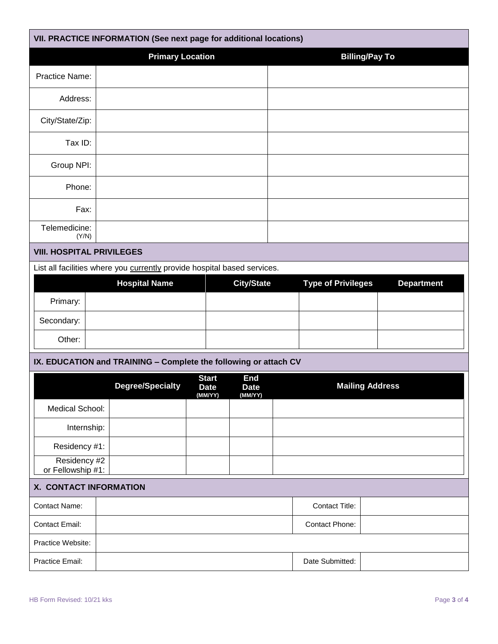|                                   | VII. PRACTICE INFORMATION (See next page for additional locations)       |                             |                    |                           |                        |
|-----------------------------------|--------------------------------------------------------------------------|-----------------------------|--------------------|---------------------------|------------------------|
|                                   | <b>Primary Location</b>                                                  |                             |                    |                           | <b>Billing/Pay To</b>  |
| Practice Name:                    |                                                                          |                             |                    |                           |                        |
| Address:                          |                                                                          |                             |                    |                           |                        |
| City/State/Zip:                   |                                                                          |                             |                    |                           |                        |
| Tax ID:                           |                                                                          |                             |                    |                           |                        |
| Group NPI:                        |                                                                          |                             |                    |                           |                        |
| Phone:                            |                                                                          |                             |                    |                           |                        |
| Fax:                              |                                                                          |                             |                    |                           |                        |
| Telemedicine:<br>(Y/N)            |                                                                          |                             |                    |                           |                        |
| <b>VIII. HOSPITAL PRIVILEGES</b>  |                                                                          |                             |                    |                           |                        |
|                                   | List all facilities where you currently provide hospital based services. |                             |                    |                           |                        |
|                                   | <b>Hospital Name</b>                                                     |                             | <b>City/State</b>  | <b>Type of Privileges</b> | <b>Department</b>      |
| Primary:                          |                                                                          |                             |                    |                           |                        |
| Secondary:                        |                                                                          |                             |                    |                           |                        |
| Other:                            |                                                                          |                             |                    |                           |                        |
|                                   | IX. EDUCATION and TRAINING - Complete the following or attach CV         |                             |                    |                           |                        |
|                                   | <b>Degree/Specialty</b>                                                  | <b>Start</b><br><b>Date</b> | End<br><b>Date</b> |                           | <b>Mailing Address</b> |
|                                   |                                                                          | (MM/YY)                     | (MM/YY)            |                           |                        |
| Medical School:                   |                                                                          |                             |                    |                           |                        |
| Internship:                       |                                                                          |                             |                    |                           |                        |
| Residency #1:                     |                                                                          |                             |                    |                           |                        |
| Residency #2<br>or Fellowship #1: |                                                                          |                             |                    |                           |                        |
| X. CONTACT INFORMATION            |                                                                          |                             |                    |                           |                        |
| <b>Contact Name:</b>              |                                                                          |                             |                    | <b>Contact Title:</b>     |                        |
| <b>Contact Email:</b>             |                                                                          |                             |                    | Contact Phone:            |                        |
| Practice Website:                 |                                                                          |                             |                    |                           |                        |
| Practice Email:                   |                                                                          |                             |                    | Date Submitted:           |                        |